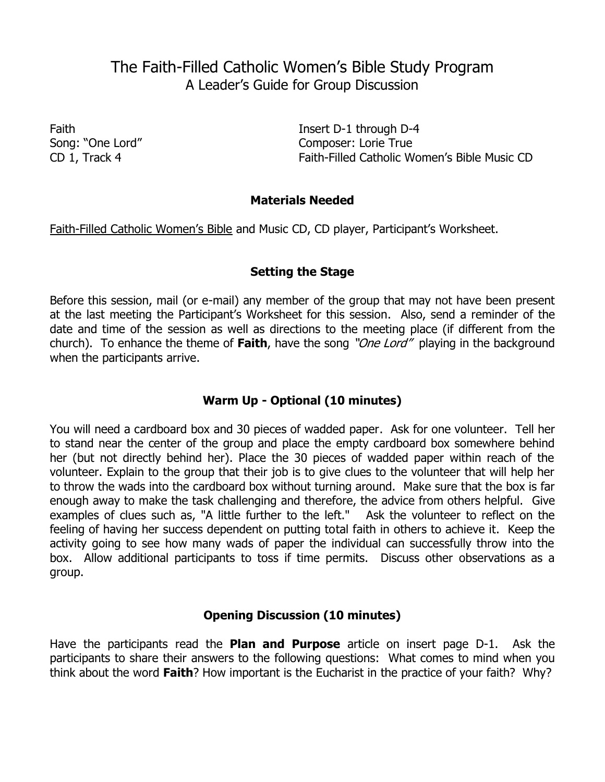# The Faith-Filled Catholic Women's Bible Study Program A Leader's Guide for Group Discussion

Faith Insert D-1 through D-4 Song: "One Lord" Song: "One Lord" Composer: Lorie True CD 1, Track 4 Faith-Filled Catholic Women's Bible Music CD

# **Materials Needed**

Faith-Filled Catholic Women's Bible and Music CD, CD player, Participant's Worksheet.

## **Setting the Stage**

Before this session, mail (or e-mail) any member of the group that may not have been present at the last meeting the Participant's Worksheet for this session. Also, send a reminder of the date and time of the session as well as directions to the meeting place (if different from the church). To enhance the theme of **Faith**, have the song "One Lord" playing in the background when the participants arrive.

# **Warm Up - Optional (10 minutes)**

You will need a cardboard box and 30 pieces of wadded paper. Ask for one volunteer. Tell her to stand near the center of the group and place the empty cardboard box somewhere behind her (but not directly behind her). Place the 30 pieces of wadded paper within reach of the volunteer. Explain to the group that their job is to give clues to the volunteer that will help her to throw the wads into the cardboard box without turning around. Make sure that the box is far enough away to make the task challenging and therefore, the advice from others helpful. Give examples of clues such as, "A little further to the left." Ask the volunteer to reflect on the feeling of having her success dependent on putting total faith in others to achieve it. Keep the activity going to see how many wads of paper the individual can successfully throw into the box. Allow additional participants to toss if time permits. Discuss other observations as a group.

## **Opening Discussion (10 minutes)**

Have the participants read the **Plan and Purpose** article on insert page D-1. Ask the participants to share their answers to the following questions: What comes to mind when you think about the word **Faith**? How important is the Eucharist in the practice of your faith? Why?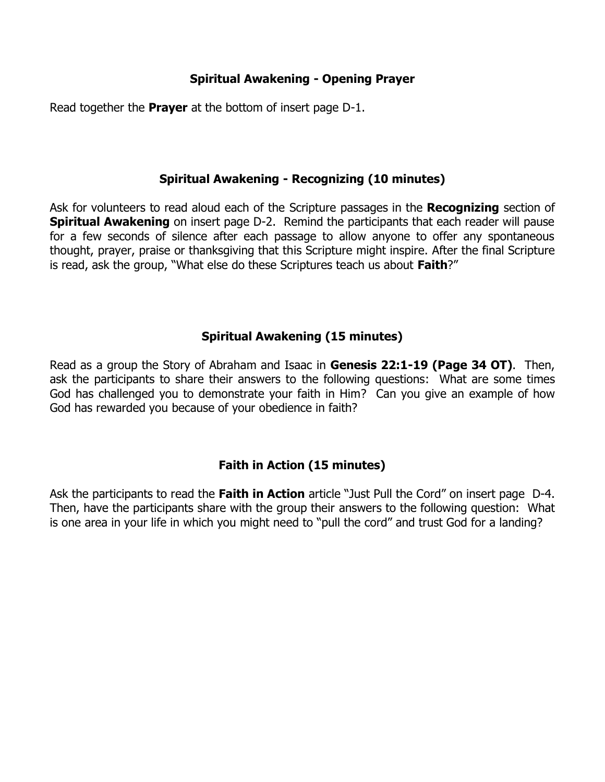# **Spiritual Awakening - Opening Prayer**

Read together the **Prayer** at the bottom of insert page D-1.

# **Spiritual Awakening - Recognizing (10 minutes)**

Ask for volunteers to read aloud each of the Scripture passages in the **Recognizing** section of **Spiritual Awakening** on insert page D-2. Remind the participants that each reader will pause for a few seconds of silence after each passage to allow anyone to offer any spontaneous thought, prayer, praise or thanksgiving that this Scripture might inspire. After the final Scripture is read, ask the group, "What else do these Scriptures teach us about **Faith**?"

# **Spiritual Awakening (15 minutes)**

Read as a group the Story of Abraham and Isaac in **Genesis 22:1-19 (Page 34 OT)**. Then, ask the participants to share their answers to the following questions: What are some times God has challenged you to demonstrate your faith in Him? Can you give an example of how God has rewarded you because of your obedience in faith?

# **Faith in Action (15 minutes)**

Ask the participants to read the **Faith in Action** article "Just Pull the Cord" on insert page D-4. Then, have the participants share with the group their answers to the following question: What is one area in your life in which you might need to "pull the cord" and trust God for a landing?